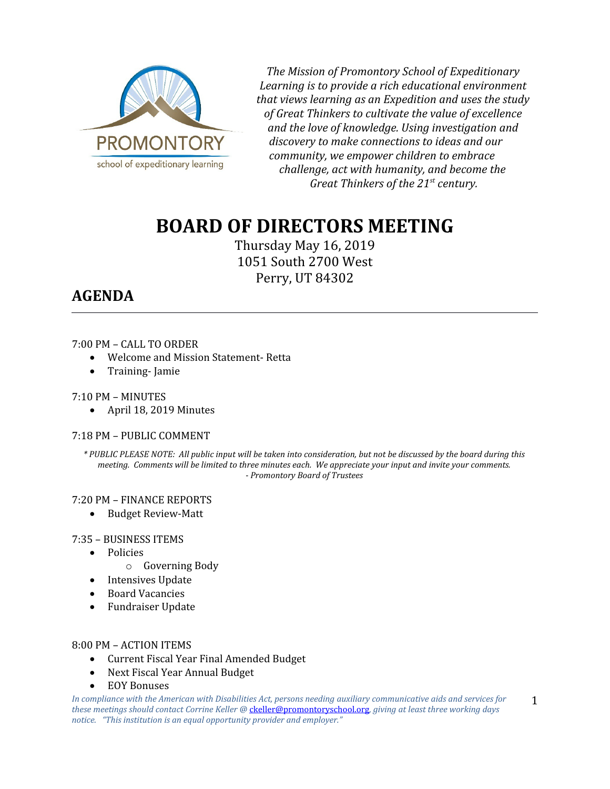

*The Mission of Promontory School of Expeditionary Learning is to provide a rich educational environment that views learning as an Expedition and uses the study of Great Thinkers to cultivate the value of excellence and the love of knowledge. Using investigation and discovery to make connections to ideas and our community, we empower children to embrace challenge, act with humanity, and become the Great Thinkers of the 21st century.*

# **BOARD OF DIRECTORS MEETING**

Thursday May 16, 2019 1051 South 2700 West Perry, UT 84302

# **AGENDA**

# 7:00 PM – CALL TO ORDER

- Welcome and Mission Statement- Retta
- Training-Jamie

# 7:10 PM – MINUTES

April 18, 2019 Minutes

# 7:18 PM – PUBLIC COMMENT

*\* PUBLIC PLEASE NOTE: All public input will be taken into consideration, but not be discussed by the board during this meeting. Comments will be limited to three minutes each. We appreciate your input and invite your comments. - Promontory Board of Trustees*

#### 7:20 PM – FINANCE REPORTS

• Budget Review-Matt

# 7:35 – BUSINESS ITEMS

- Policies
	- o Governing Body
- Intensives Update
- Board Vacancies
- Fundraiser Update

#### 8:00 PM – ACTION ITEMS

- Current Fiscal Year Final Amended Budget
- Next Fiscal Year Annual Budget
- EOY Bonuses

*In compliance with the American with Disabilities Act, persons needing auxiliary communicative aids and services for these meetings should contact Corrine Keller @* [ckeller@promontoryschool.org](mailto:ckeller@promontoryschool.org)*, giving at least three working days notice. "This institution is an equal opportunity provider and employer."*

1